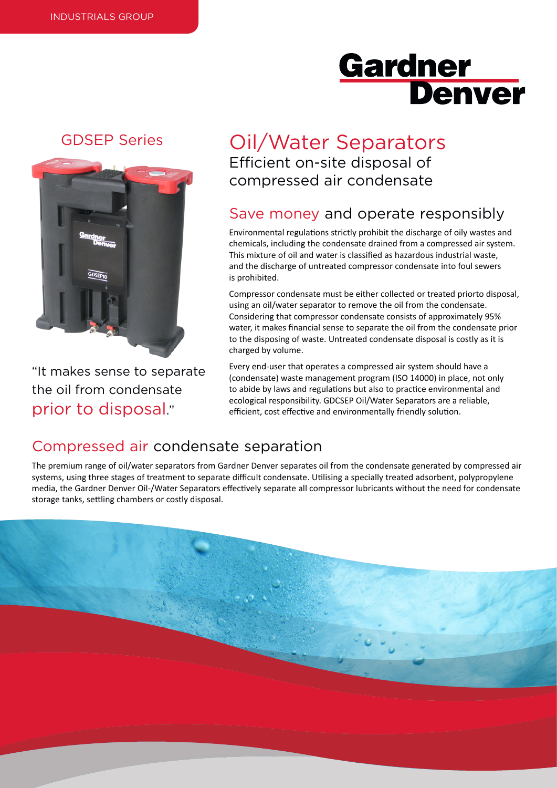# **Gardner Denver**

### GDSEP Series



"It makes sense to separate the oil from condensate prior to disposal."

## Oil/Water Separators Efficient on-site disposal of compressed air condensate

## Save money and operate responsibly

Environmental regulations strictly prohibit the discharge of oily wastes and chemicals, including the condensate drained from a compressed air system. This mixture of oil and water is classified as hazardous industrial waste, and the discharge of untreated compressor condensate into foul sewers is prohibited.

Compressor condensate must be either collected or treated priorto disposal, using an oil/water separator to remove the oil from the condensate. Considering that compressor condensate consists of approximately 95% water, it makes financial sense to separate the oil from the condensate prior to the disposing of waste. Untreated condensate disposal is costly as it is charged by volume.

Every end-user that operates a compressed air system should have a (condensate) waste management program (ISO 14000) in place, not only to abide by laws and regulations but also to practice environmental and ecological responsibility. GDCSEP Oil/Water Separators are a reliable, efficient, cost effective and environmentally friendly solution.

### Compressed air condensate separation

The premium range of oil/water separators from Gardner Denver separates oil from the condensate generated by compressed air systems, using three stages of treatment to separate difficult condensate. Utilising a specially treated adsorbent, polypropylene media, the Gardner Denver Oil-/Water Separators effectively separate all compressor lubricants without the need for condensate storage tanks, settling chambers or costly disposal.